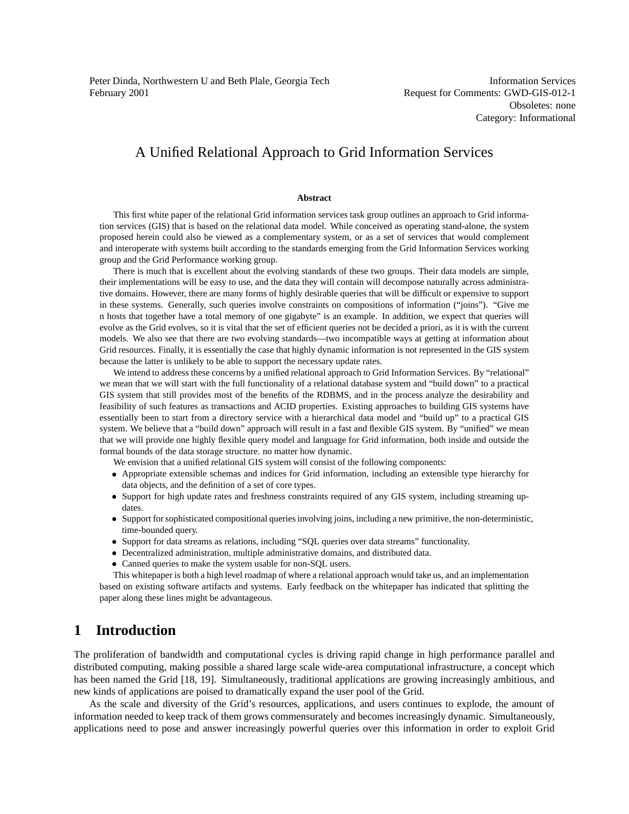Peter Dinda, Northwestern U and Beth Plale, Georgia Tech February 2001

Information Services Request for Comments: GWD-GIS-012-1 Obsoletes: none Category: Informational

## A Unified Relational Approach to Grid Information Services

#### **Abstract**

This first white paper of the relational Grid information services task group outlines an approach to Grid information services (GIS) that is based on the relational data model. While conceived as operating stand-alone, the system proposed herein could also be viewed as a complementary system, or as a set of services that would complement and interoperate with systems built according to the standards emerging from the Grid Information Services working group and the Grid Performance working group.

There is much that is excellent about the evolving standards of these two groups. Their data models are simple, their implementations will be easy to use, and the data they will contain will decompose naturally across administrative domains. However, there are many forms of highly desirable queries that will be difficult or expensive to support in these systems. Generally, such queries involve constraints on compositions of information ("joins"). "Give me n hosts that together have a total memory of one gigabyte" is an example. In addition, we expect that queries will evolve as the Grid evolves, so it is vital that the set of efficient queries not be decided a priori, as it is with the current models. We also see that there are *two* evolving standards—two incompatible ways at getting at information about Grid resources. Finally, it is essentially the case that highly dynamic information is not represented in the GIS system because the latter is unlikely to be able to support the necessary update rates.

We intend to address these concerns by a unified relational approach to Grid Information Services. By "relational" we mean that we will start with the full functionality of a relational database system and "build down" to a practical GIS system that still provides most of the benefits of the RDBMS, and in the process analyze the desirability and feasibility of such features as transactions and ACID properties. Existing approaches to building GIS systems have essentially been to start from a directory service with a hierarchical data model and "build up" to a practical GIS system. We believe that a "build down" approach will result in a fast and flexible GIS system. By "unified" we mean that we will provide one highly flexible query model and language for Grid information, both inside and outside the formal bounds of the data storage structure. no matter how dynamic.

We envision that a unified relational GIS system will consist of the following components:

- Appropriate extensible schemas and indices for Grid information, including an extensible type hierarchy for data objects, and the definition of a set of core types.
- Support for high update rates and freshness constraints required of any GIS system, including streaming updates.
- Support forsophisticated compositional queriesinvolving joins, including a new primitive, the non-deterministic, time-bounded query.
- Support for data streams as relations, including "SQL queries over data streams" functionality.
- Decentralized administration, multiple administrative domains, and distributed data.
- Canned queries to make the system usable for non-SQL users.

This whitepaper is both a high level roadmap of where a relational approach would take us, and an implementation based on existing software artifacts and systems. Early feedback on the whitepaper has indicated that splitting the paper along these lines might be advantageous.

### **1 Introduction**

The proliferation of bandwidth and computational cycles is driving rapid change in high performance parallel and distributed computing, making possible a shared large scale wide-area computational infrastructure, a concept which has been named the Grid [18, 19]. Simultaneously, traditional applications are growing increasingly ambitious, and new kinds of applications are poised to dramatically expand the user pool of the Grid.

As the scale and diversity of the Grid's resources, applications, and users continues to explode, the amount of information needed to keep track of them grows commensurately and becomes increasingly dynamic. Simultaneously, applications need to pose and answer increasingly powerful queries over this information in order to exploit Grid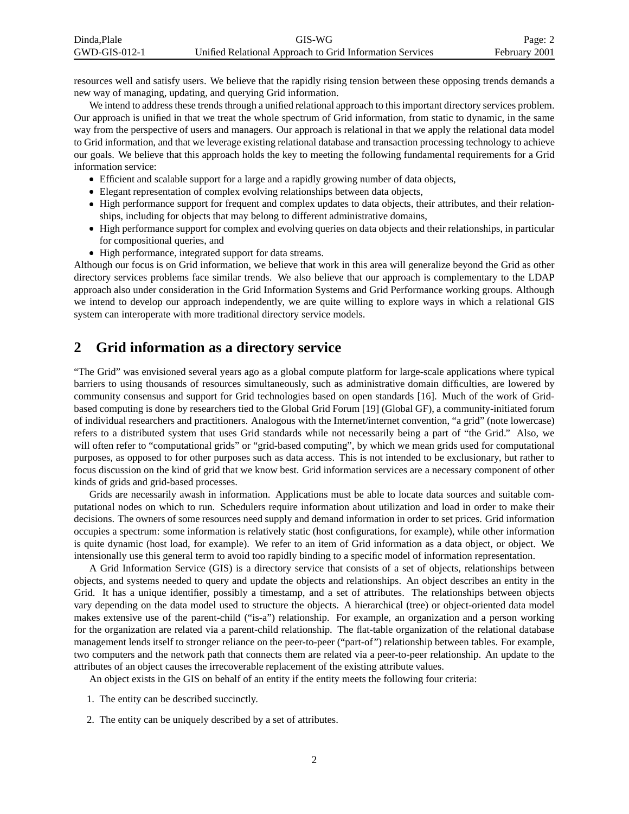| Dinda.Plale   | GIS-WG                                                   | Page: 2       |
|---------------|----------------------------------------------------------|---------------|
| GWD-GIS-012-1 | Unified Relational Approach to Grid Information Services | February 2001 |

resources well and satisfy users. We believe that the rapidly rising tension between these opposing trends demands a new way of managing, updating, and querying Grid information.

We intend to address these trends through a unified relational approach to this important directory services problem. Our approach is unified in that we treat the whole spectrum of Grid information, from static to dynamic, in the same way from the perspective of users and managers. Our approach is relational in that we apply the relational data model to Grid information, and that we leverage existing relational database and transaction processing technology to achieve our goals. We believe that this approach holds the key to meeting the following fundamental requirements for a Grid information service:

- Efficient and scalable support for a large and a rapidly growing number of data objects,
- Elegant representation of complex evolving relationships between data objects,
- High performance support for frequent and complex updates to data objects, their attributes, and their relationships, including for objects that may belong to different administrative domains,
- High performance support for complex and evolving queries on data objects and their relationships, in particular for compositional queries, and
- High performance, integrated support for data streams.

Although our focus is on Grid information, we believe that work in this area will generalize beyond the Grid as other directory services problems face similar trends. We also believe that our approach is complementary to the LDAP approach also under consideration in the Grid Information Systems and Grid Performance working groups. Although we intend to develop our approach independently, we are quite willing to explore ways in which a relational GIS system can interoperate with more traditional directory service models.

### **2 Grid information as a directory service**

"The Grid" was envisioned several years ago as a global compute platform for large-scale applications where typical barriers to using thousands of resources simultaneously, such as administrative domain difficulties, are lowered by community consensus and support for Grid technologies based on open standards [16]. Much of the work of Gridbased computing is done by researchers tied to the Global Grid Forum [19] (Global GF), a community-initiated forum of individual researchers and practitioners. Analogous with the Internet/internet convention, "a grid" (note lowercase) refers to a distributed system that uses Grid standards while not necessarily being a part of "the Grid." Also, we will often refer to "computational grids" or "grid-based computing", by which we mean grids used for computational purposes, as opposed to for other purposes such as data access. This is not intended to be exclusionary, but rather to focus discussion on the kind of grid that we know best. Grid information services are a necessary component of other kinds of grids and grid-based processes.

Grids are necessarily awash in information. Applications must be able to locate data sources and suitable computational nodes on which to run. Schedulers require information about utilization and load in order to make their decisions. The owners of some resources need supply and demand information in order to set prices. Grid information occupies a spectrum: some information is relatively static (host configurations, for example), while other information is quite dynamic (host load, for example). We refer to an item of Grid information as a data object, or object. We intensionally use this general term to avoid too rapidly binding to a specific model of information representation.

A Grid Information Service (GIS) is a directory service that consists of a set of objects, relationships between objects, and systems needed to query and update the objects and relationships. An object describes an entity in the Grid. It has a unique identifier, possibly a timestamp, and a set of attributes. The relationships between objects vary depending on the data model used to structure the objects. A hierarchical (tree) or object-oriented data model makes extensive use of the parent-child ("is-a") relationship. For example, an organization and a person working for the organization are related via a parent-child relationship. The flat-table organization of the relational database management lends itself to stronger reliance on the peer-to-peer ("part-of") relationship between tables. For example, two computers and the network path that connects them are related via a peer-to-peer relationship. An update to the attributes of an object causes the irrecoverable replacement of the existing attribute values.

An object exists in the GIS on behalf of an entity if the entity meets the following four criteria:

- 1. The entity can be described succinctly.
- 2. The entity can be uniquely described by a set of attributes.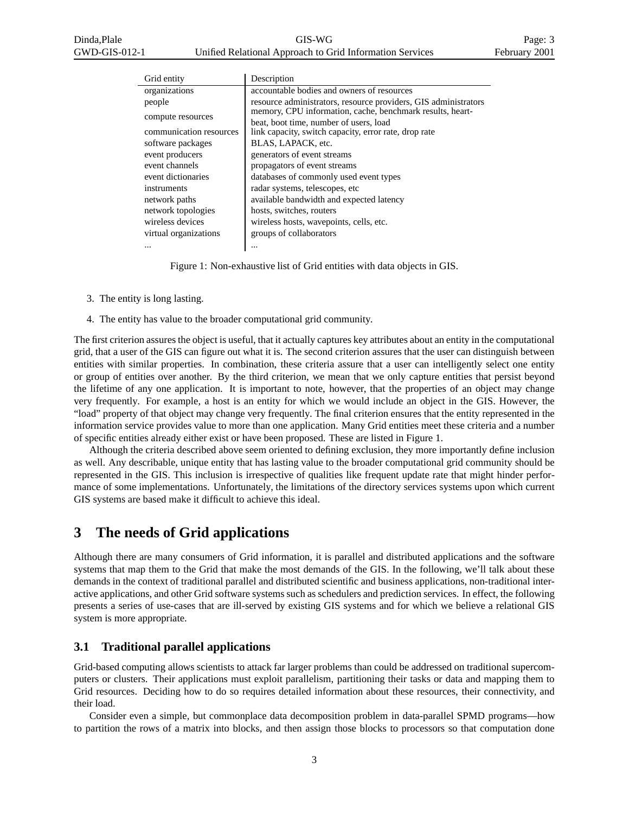| Grid entity             | Description                                                     |
|-------------------------|-----------------------------------------------------------------|
| organizations           | accountable bodies and owners of resources                      |
| people                  | resource administrators, resource providers, GIS administrators |
| compute resources       | memory, CPU information, cache, benchmark results, heart-       |
|                         | beat, boot time, number of users, load                          |
| communication resources | link capacity, switch capacity, error rate, drop rate           |
| software packages       | BLAS, LAPACK, etc.                                              |
| event producers         | generators of event streams                                     |
| event channels          | propagators of event streams                                    |
| event dictionaries      | databases of commonly used event types                          |
| instruments             | radar systems, telescopes, etc.                                 |
| network paths           | available bandwidth and expected latency                        |
| network topologies      | hosts, switches, routers                                        |
| wireless devices        | wireless hosts, wavepoints, cells, etc.                         |
| virtual organizations   | groups of collaborators                                         |
| $\cdots$                |                                                                 |

Figure 1: Non-exhaustive list of Grid entities with data objects in GIS.

- 3. The entity is long lasting.
- 4. The entity has value to the broader computational grid community.

The first criterion assures the object is useful, that it actually captures key attributes about an entity in the computational grid, that a user of the GIS can figure out what it is. The second criterion assures that the user can distinguish between entities with similar properties. In combination, these criteria assure that a user can intelligently select one entity or group of entities over another. By the third criterion, we mean that we only capture entities that persist beyond the lifetime of any one application. It is important to note, however, that the properties of an object may change very frequently. For example, a host is an entity for which we would include an object in the GIS. However, the "load" property of that object may change very frequently. The final criterion ensures that the entity represented in the information service provides value to more than one application. Many Grid entities meet these criteria and a number of specific entities already either exist or have been proposed. These are listed in Figure 1.

Although the criteria described above seem oriented to defining exclusion, they more importantly define inclusion as well. Any describable, unique entity that has lasting value to the broader computational grid community should be represented in the GIS. This inclusion is irrespective of qualities like frequent update rate that might hinder performance of some implementations. Unfortunately, the limitations of the directory services systems upon which current GIS systems are based make it difficult to achieve this ideal.

# **3 The needs of Grid applications**

Although there are many consumers of Grid information, it is parallel and distributed applications and the software systems that map them to the Grid that make the most demands of the GIS. In the following, we'll talk about these demands in the context of traditional parallel and distributed scientific and business applications, non-traditional interactive applications, and other Grid software systems such as schedulers and prediction services. In effect, the following presents a series of use-cases that are ill-served by existing GIS systems and for which we believe a relational GIS system is more appropriate.

### **3.1 Traditional parallel applications**

Grid-based computing allows scientists to attack far larger problems than could be addressed on traditional supercomputers or clusters. Their applications must exploit parallelism, partitioning their tasks or data and mapping them to Grid resources. Deciding how to do so requires detailed information about these resources, their connectivity, and their load.

Consider even a simple, but commonplace data decomposition problem in data-parallel SPMD programs—how to partition the rows of a matrix into blocks, and then assign those blocks to processors so that computation done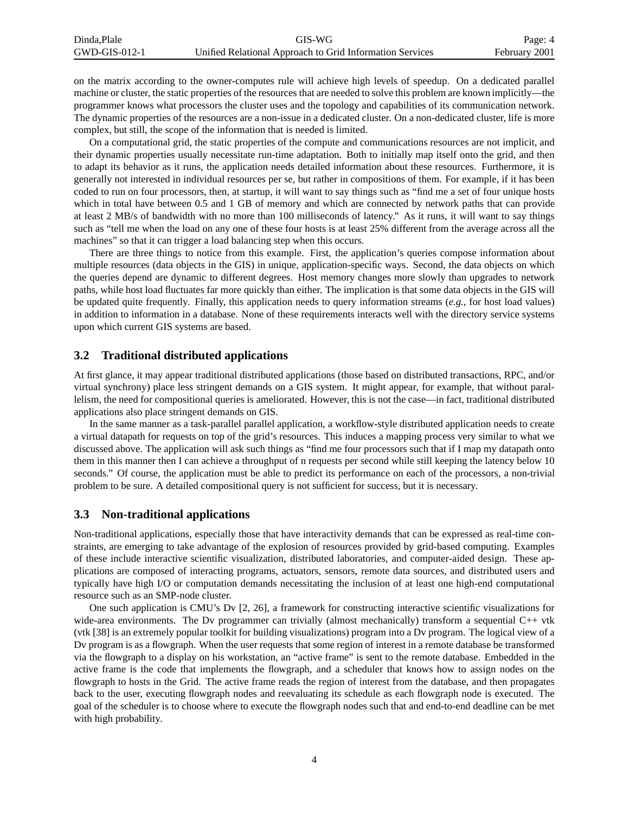| Dinda.Plale     | GIS-WG                                                   | Page: 4       |
|-----------------|----------------------------------------------------------|---------------|
| $GWD-GIS-012-1$ | Unified Relational Approach to Grid Information Services | February 2001 |

on the matrix according to the owner-computes rule will achieve high levels of speedup. On a dedicated parallel machine or cluster, the static properties of the resources that are needed to solve this problem are known implicitly—the programmer knows what processors the cluster uses and the topology and capabilities of its communication network. The dynamic properties of the resources are a non-issue in a dedicated cluster. On a non-dedicated cluster, life is more complex, but still, the scope of the information that is needed is limited.

On a computational grid, the static properties of the compute and communications resources are not implicit, and their dynamic properties usually necessitate run-time adaptation. Both to initially map itself onto the grid, and then to adapt its behavior as it runs, the application needs detailed information about these resources. Furthermore, it is generally not interested in individual resources per se, but rather in compositions of them. For example, if it has been coded to run on four processors, then, at startup, it will want to say things such as "find me a set of four unique hosts which in total have between 0.5 and 1 GB of memory and which are connected by network paths that can provide at least 2 MB/s of bandwidth with no more than 100 milliseconds of latency." As it runs, it will want to say things such as "tell me when the load on any one of these four hosts is at least 25% different from the average across all the machines" so that it can trigger a load balancing step when this occurs.

There are three things to notice from this example. First, the application's queries compose information about multiple resources (data objects in the GIS) in unique, application-specific ways. Second, the data objects on which the queries depend are dynamic to different degrees. Host memory changes more slowly than upgrades to network paths, while host load fluctuates far more quickly than either. The implication is that some data objects in the GIS will be updated quite frequently. Finally, this application needs to query information streams (*e.g.*, for host load values) in addition to information in a database. None of these requirements interacts well with the directory service systems upon which current GIS systems are based.

#### **3.2 Traditional distributed applications**

At first glance, it may appear traditional distributed applications (those based on distributed transactions, RPC, and/or virtual synchrony) place less stringent demands on a GIS system. It might appear, for example, that without parallelism, the need for compositional queries is ameliorated. However, this is not the case—in fact, traditional distributed applications also place stringent demands on GIS.

In the same manner as a task-parallel parallel application, a workflow-style distributed application needs to create a virtual datapath for requests on top of the grid's resources. This induces a mapping process very similar to what we discussed above. The application will ask such things as "find me four processors such that if I map my datapath onto them in this manner then I can achieve a throughput of n requests per second while still keeping the latency below 10 seconds." Of course, the application must be able to predict its performance on each of the processors, a non-trivial problem to be sure. A detailed compositional query is not sufficient for success, but it is necessary.

#### **3.3 Non-traditional applications**

Non-traditional applications, especially those that have interactivity demands that can be expressed as real-time constraints, are emerging to take advantage of the explosion of resources provided by grid-based computing. Examples of these include interactive scientific visualization, distributed laboratories, and computer-aided design. These applications are composed of interacting programs, actuators, sensors, remote data sources, and distributed users and typically have high I/O or computation demands necessitating the inclusion of at least one high-end computational resource such as an SMP-node cluster.

One such application is CMU's Dv [2, 26], a framework for constructing interactive scientific visualizations for wide-area environments. The Dv programmer can trivially (almost mechanically) transform a sequential C++ vtk (vtk [38] is an extremely popular toolkit for building visualizations) program into a Dv program. The logical view of a Dv program is as a flowgraph. When the user requests that some region of interest in a remote database be transformed via the flowgraph to a display on his workstation, an "active frame" is sent to the remote database. Embedded in the active frame is the code that implements the flowgraph, and a scheduler that knows how to assign nodes on the flowgraph to hosts in the Grid. The active frame reads the region of interest from the database, and then propagates back to the user, executing flowgraph nodes and reevaluating its schedule as each flowgraph node is executed. The goal of the scheduler is to choose where to execute the flowgraph nodes such that and end-to-end deadline can be met with high probability.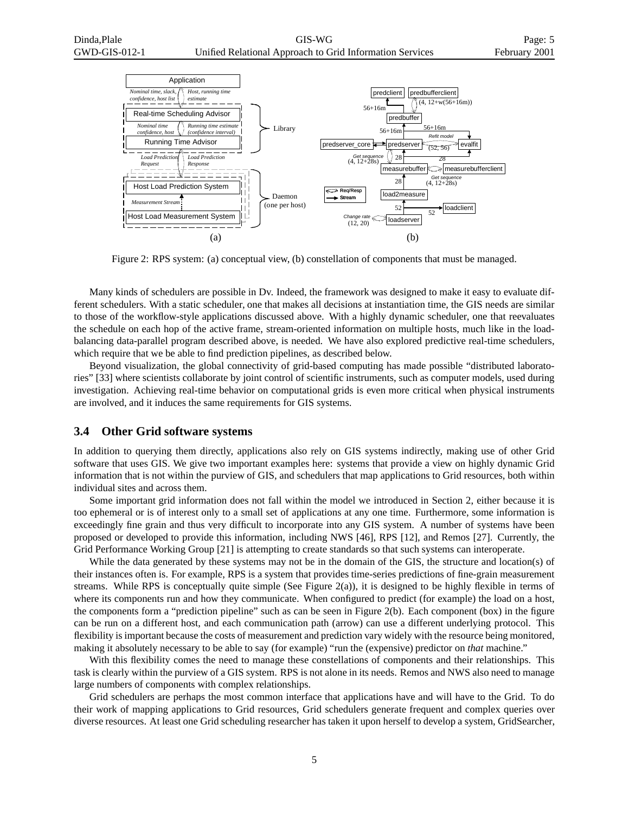

Figure 2: RPS system: (a) conceptual view, (b) constellation of components that must be managed.

Many kinds of schedulers are possible in Dv. Indeed, the framework was designed to make it easy to evaluate different schedulers. With a static scheduler, one that makes all decisions at instantiation time, the GIS needs are similar to those of the workflow-style applications discussed above. With a highly dynamic scheduler, one that reevaluates the schedule on each hop of the active frame, stream-oriented information on multiple hosts, much like in the loadbalancing data-parallel program described above, is needed. We have also explored predictive real-time schedulers, which require that we be able to find prediction pipelines, as described below.

Beyond visualization, the global connectivity of grid-based computing has made possible "distributed laboratories" [33] where scientists collaborate by joint control of scientific instruments, such as computer models, used during investigation. Achieving real-time behavior on computational grids is even more critical when physical instruments are involved, and it induces the same requirements for GIS systems.

#### **3.4 Other Grid software systems**

In addition to querying them directly, applications also rely on GIS systems indirectly, making use of other Grid software that uses GIS. We give two important examples here: systems that provide a view on highly dynamic Grid information that is not within the purview of GIS, and schedulers that map applications to Grid resources, both within individual sites and across them.

Some important grid information does not fall within the model we introduced in Section 2, either because it is too ephemeral or is of interest only to a small set of applications at any one time. Furthermore, some information is exceedingly fine grain and thus very difficult to incorporate into any GIS system. A number of systems have been proposed or developed to provide this information, including NWS [46], RPS [12], and Remos [27]. Currently, the Grid Performance Working Group [21] is attempting to create standards so that such systems can interoperate.

While the data generated by these systems may not be in the domain of the GIS, the structure and location(s) of their instances often is. For example, RPS is a system that provides time-series predictions of fine-grain measurement streams. While RPS is conceptually quite simple (See Figure 2(a)), it is designed to be highly flexible in terms of where its components run and how they communicate. When configured to predict (for example) the load on a host, the components form a "prediction pipeline" such as can be seen in Figure 2(b). Each component (box) in the figure can be run on a different host, and each communication path (arrow) can use a different underlying protocol. This flexibility is important because the costs of measurement and prediction vary widely with the resource being monitored, making it absolutely necessary to be able to say (for example) "run the (expensive) predictor on *that* machine."

With this flexibility comes the need to manage these constellations of components and their relationships. This task is clearly within the purview of a GIS system. RPS is not alone in its needs. Remos and NWS also need to manage large numbers of components with complex relationships.

Grid schedulers are perhaps the most common interface that applications have and will have to the Grid. To do their work of mapping applications to Grid resources, Grid schedulers generate frequent and complex queries over diverse resources. At least one Grid scheduling researcher has taken it upon herself to develop a system, GridSearcher,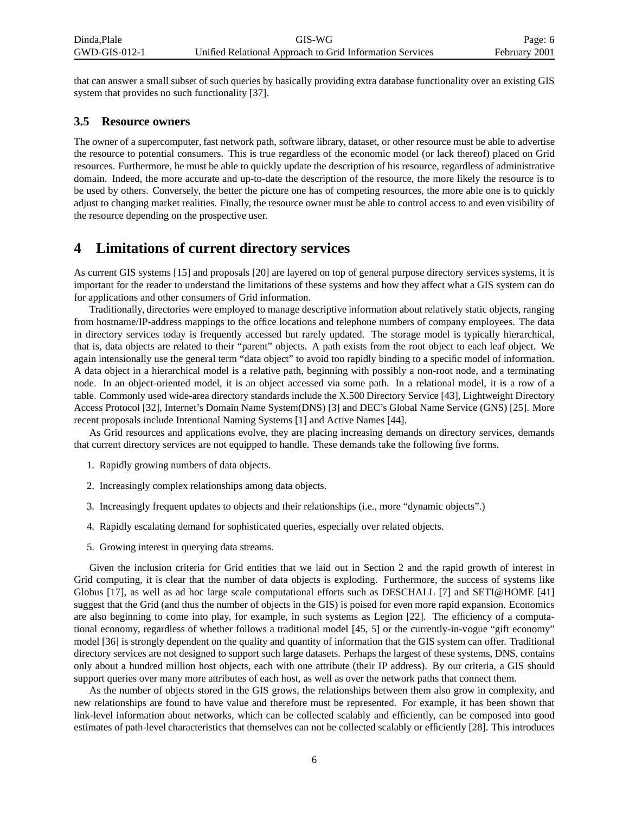that can answer a small subset of such queries by basically providing extra database functionality over an existing GIS system that provides no such functionality [37].

### **3.5 Resource owners**

The owner of a supercomputer, fast network path, software library, dataset, or other resource must be able to advertise the resource to potential consumers. This is true regardless of the economic model (or lack thereof) placed on Grid resources. Furthermore, he must be able to quickly update the description of his resource, regardless of administrative domain. Indeed, the more accurate and up-to-date the description of the resource, the more likely the resource is to be used by others. Conversely, the better the picture one has of competing resources, the more able one is to quickly adjust to changing market realities. Finally, the resource owner must be able to control access to and even visibility of the resource depending on the prospective user.

### **4 Limitations of current directory services**

As current GIS systems [15] and proposals [20] are layered on top of general purpose directory services systems, it is important for the reader to understand the limitations of these systems and how they affect what a GIS system can do for applications and other consumers of Grid information.

Traditionally, directories were employed to manage descriptive information about relatively static objects, ranging from hostname/IP-address mappings to the office locations and telephone numbers of company employees. The data in directory services today is frequently accessed but rarely updated. The storage model is typically hierarchical, that is, data objects are related to their "parent" objects. A path exists from the root object to each leaf object. We again intensionally use the general term "data object" to avoid too rapidly binding to a specific model of information. A data object in a hierarchical model is a relative path, beginning with possibly a non-root node, and a terminating node. In an object-oriented model, it is an object accessed via some path. In a relational model, it is a row of a table. Commonly used wide-area directory standards include the X.500 Directory Service [43], Lightweight Directory Access Protocol [32], Internet's Domain Name System(DNS) [3] and DEC's Global Name Service (GNS) [25]. More recent proposals include Intentional Naming Systems [1] and Active Names [44].

As Grid resources and applications evolve, they are placing increasing demands on directory services, demands that current directory services are not equipped to handle. These demands take the following five forms.

- 1. Rapidly growing numbers of data objects.
- 2. Increasingly complex relationships among data objects.
- 3. Increasingly frequent updates to objects and their relationships (i.e., more "dynamic objects".)
- 4. Rapidly escalating demand for sophisticated queries, especially over related objects.
- 5. Growing interest in querying data streams.

Given the inclusion criteria for Grid entities that we laid out in Section 2 and the rapid growth of interest in Grid computing, it is clear that the number of data objects is exploding. Furthermore, the success of systems like Globus [17], as well as ad hoc large scale computational efforts such as DESCHALL [7] and SETI@HOME [41] suggest that the Grid (and thus the number of objects in the GIS) is poised for even more rapid expansion. Economics are also beginning to come into play, for example, in such systems as Legion [22]. The efficiency of a computational economy, regardless of whether follows a traditional model [45, 5] or the currently-in-vogue "gift economy" model [36] is strongly dependent on the quality and quantity of information that the GIS system can offer. Traditional directory services are not designed to support such large datasets. Perhaps the largest of these systems, DNS, contains only about a hundred million host objects, each with one attribute (their IP address). By our criteria, a GIS should support queries over many more attributes of each host, as well as over the network paths that connect them.

As the number of objects stored in the GIS grows, the relationships between them also grow in complexity, and new relationships are found to have value and therefore must be represented. For example, it has been shown that link-level information about networks, which can be collected scalably and efficiently, can be composed into good estimates of path-level characteristics that themselves can not be collected scalably or efficiently [28]. This introduces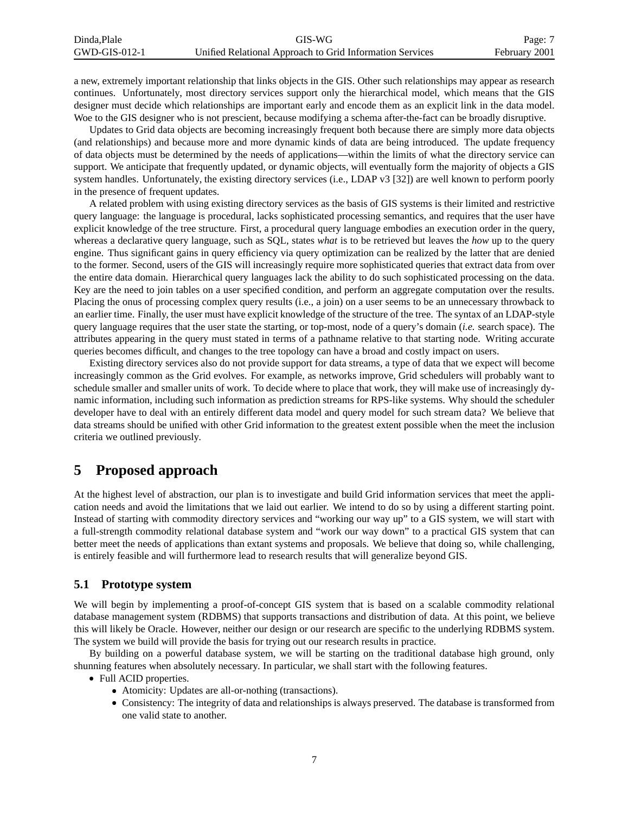| Dinda.Plale     | GIS-WG                                                   | Page: 7       |
|-----------------|----------------------------------------------------------|---------------|
| $GWD-GIS-012-1$ | Unified Relational Approach to Grid Information Services | February 2001 |

a new, extremely important relationship that links objects in the GIS. Other such relationships may appear as research continues. Unfortunately, most directory services support only the hierarchical model, which means that the GIS designer must decide which relationships are important early and encode them as an explicit link in the data model. Woe to the GIS designer who is not prescient, because modifying a schema after-the-fact can be broadly disruptive.

Updates to Grid data objects are becoming increasingly frequent both because there are simply more data objects (and relationships) and because more and more dynamic kinds of data are being introduced. The update frequency of data objects must be determined by the needs of applications—within the limits of what the directory service can support. We anticipate that frequently updated, or dynamic objects, will eventually form the majority of objects a GIS system handles. Unfortunately, the existing directory services (i.e., LDAP v3 [32]) are well known to perform poorly in the presence of frequent updates.

A related problem with using existing directory services as the basis of GIS systems is their limited and restrictive query language: the language is procedural, lacks sophisticated processing semantics, and requires that the user have explicit knowledge of the tree structure. First, a procedural query language embodies an execution order in the query, whereas a declarative query language, such as SQL, states *what* is to be retrieved but leaves the *how* up to the query engine. Thus significant gains in query efficiency via query optimization can be realized by the latter that are denied to the former. Second, users of the GIS will increasingly require more sophisticated queries that extract data from over the entire data domain. Hierarchical query languages lack the ability to do such sophisticated processing on the data. Key are the need to join tables on a user specified condition, and perform an aggregate computation over the results. Placing the onus of processing complex query results (i.e., a join) on a user seems to be an unnecessary throwback to an earlier time. Finally, the user must have explicit knowledge of the structure of the tree. The syntax of an LDAP-style query language requires that the user state the starting, or top-most, node of a query's domain (*i.e.* search space). The attributes appearing in the query must stated in terms of a pathname relative to that starting node. Writing accurate queries becomes difficult, and changes to the tree topology can have a broad and costly impact on users.

Existing directory services also do not provide support for data streams, a type of data that we expect will become increasingly common as the Grid evolves. For example, as networks improve, Grid schedulers will probably want to schedule smaller and smaller units of work. To decide where to place that work, they will make use of increasingly dynamic information, including such information as prediction streams for RPS-like systems. Why should the scheduler developer have to deal with an entirely different data model and query model for such stream data? We believe that data streams should be unified with other Grid information to the greatest extent possible when the meet the inclusion criteria we outlined previously.

### **5 Proposed approach**

At the highest level of abstraction, our plan is to investigate and build Grid information services that meet the application needs and avoid the limitations that we laid out earlier. We intend to do so by using a different starting point. Instead of starting with commodity directory services and "working our way up" to a GIS system, we will start with a full-strength commodity relational database system and "work our way down" to a practical GIS system that can better meet the needs of applications than extant systems and proposals. We believe that doing so, while challenging, is entirely feasible and will furthermore lead to research results that will generalize beyond GIS.

#### **5.1 Prototype system**

We will begin by implementing a proof-of-concept GIS system that is based on a scalable commodity relational database management system (RDBMS) that supports transactions and distribution of data. At this point, we believe this will likely be Oracle. However, neither our design or our research are specific to the underlying RDBMS system. The system we build will provide the basis for trying out our research results in practice.

By building on a powerful database system, we will be starting on the traditional database high ground, only shunning features when absolutely necessary. In particular, we shall start with the following features.

- Full ACID properties.
	- Atomicity: Updates are all-or-nothing (transactions).
	- Consistency: The integrity of data and relationships is always preserved. The database is transformed from one valid state to another.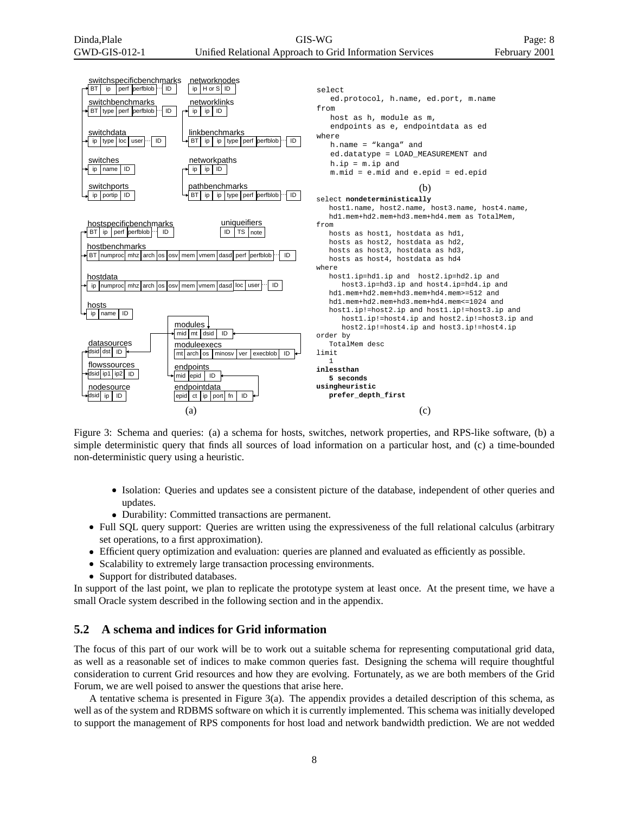GIS-WG Unified Relational Approach to Grid Information Services



Figure 3: Schema and queries: (a) a schema for hosts, switches, network properties, and RPS-like software, (b) a simple deterministic query that finds all sources of load information on a particular host, and (c) a time-bounded non-deterministic query using a heuristic.

- Isolation: Queries and updates see a consistent picture of the database, independent of other queries and updates.
- Durability: Committed transactions are permanent.
- Full SQL query support: Queries are written using the expressiveness of the full relational calculus (arbitrary set operations, to a first approximation).
- Efficient query optimization and evaluation: queries are planned and evaluated as efficiently as possible.
- Scalability to extremely large transaction processing environments.
- Support for distributed databases.

In support of the last point, we plan to replicate the prototype system at least once. At the present time, we have a small Oracle system described in the following section and in the appendix.

#### **5.2 A schema and indices for Grid information**

The focus of this part of our work will be to work out a suitable schema for representing computational grid data, as well as a reasonable set of indices to make common queries fast. Designing the schema will require thoughtful consideration to current Grid resources and how they are evolving. Fortunately, as we are both members of the Grid Forum, we are well poised to answer the questions that arise here.

A tentative schema is presented in Figure 3(a). The appendix provides a detailed description of this schema, as well as of the system and RDBMS software on which it is currently implemented. This schema was initially developed to support the management of RPS components for host load and network bandwidth prediction. We are not wedded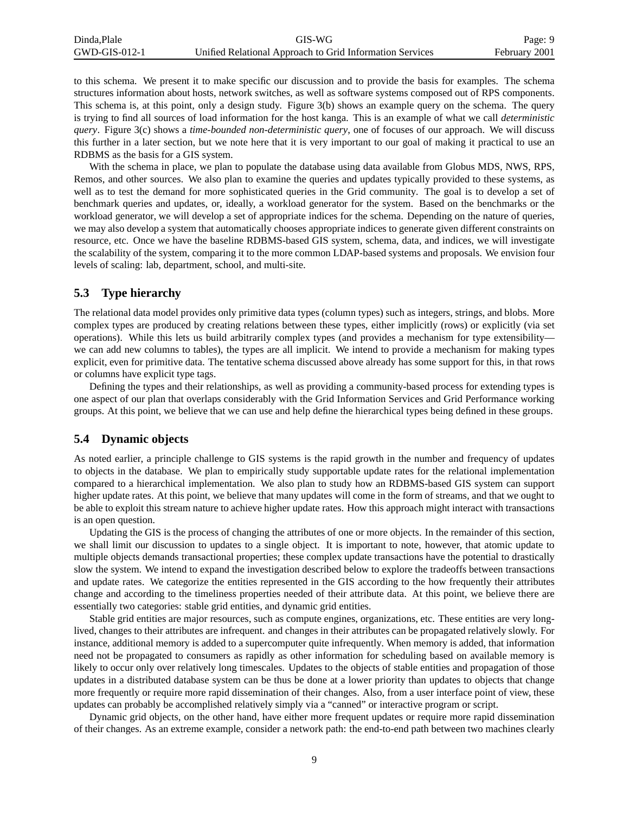| Dinda.Plale     | GIS-WG                                                   | Page: 9       |
|-----------------|----------------------------------------------------------|---------------|
| $GWD-GIS-012-1$ | Unified Relational Approach to Grid Information Services | February 2001 |

to this schema. We present it to make specific our discussion and to provide the basis for examples. The schema structures information about hosts, network switches, as well as software systems composed out of RPS components. This schema is, at this point, only a design study. Figure 3(b) shows an example query on the schema. The query is trying to find all sources of load information for the host kanga. This is an example of what we call *deterministic query*. Figure 3(c) shows a *time-bounded non-deterministic query*, one of focuses of our approach. We will discuss this further in a later section, but we note here that it is very important to our goal of making it practical to use an RDBMS as the basis for a GIS system.

With the schema in place, we plan to populate the database using data available from Globus MDS, NWS, RPS, Remos, and other sources. We also plan to examine the queries and updates typically provided to these systems, as well as to test the demand for more sophisticated queries in the Grid community. The goal is to develop a set of benchmark queries and updates, or, ideally, a workload generator for the system. Based on the benchmarks or the workload generator, we will develop a set of appropriate indices for the schema. Depending on the nature of queries, we may also develop a system that automatically chooses appropriate indices to generate given different constraints on resource, etc. Once we have the baseline RDBMS-based GIS system, schema, data, and indices, we will investigate the scalability of the system, comparing it to the more common LDAP-based systems and proposals. We envision four levels of scaling: lab, department, school, and multi-site.

#### **5.3 Type hierarchy**

The relational data model provides only primitive data types (column types) such as integers, strings, and blobs. More complex types are produced by creating relations between these types, either implicitly (rows) or explicitly (via set operations). While this lets us build arbitrarily complex types (and provides a mechanism for type extensibility we can add new columns to tables), the types are all implicit. We intend to provide a mechanism for making types explicit, even for primitive data. The tentative schema discussed above already has some support for this, in that rows or columns have explicit type tags.

Defining the types and their relationships, as well as providing a community-based process for extending types is one aspect of our plan that overlaps considerably with the Grid Information Services and Grid Performance working groups. At this point, we believe that we can use and help define the hierarchical types being defined in these groups.

#### **5.4 Dynamic objects**

As noted earlier, a principle challenge to GIS systems is the rapid growth in the number and frequency of updates to objects in the database. We plan to empirically study supportable update rates for the relational implementation compared to a hierarchical implementation. We also plan to study how an RDBMS-based GIS system can support higher update rates. At this point, we believe that many updates will come in the form of streams, and that we ought to be able to exploit this stream nature to achieve higher update rates. How this approach might interact with transactions is an open question.

Updating the GIS is the process of changing the attributes of one or more objects. In the remainder of this section, we shall limit our discussion to updates to a single object. It is important to note, however, that atomic update to multiple objects demands transactional properties; these complex update transactions have the potential to drastically slow the system. We intend to expand the investigation described below to explore the tradeoffs between transactions and update rates. We categorize the entities represented in the GIS according to the how frequently their attributes change and according to the timeliness properties needed of their attribute data. At this point, we believe there are essentially two categories: stable grid entities, and dynamic grid entities.

Stable grid entities are major resources, such as compute engines, organizations, etc. These entities are very longlived, changes to their attributes are infrequent. and changes in their attributes can be propagated relatively slowly. For instance, additional memory is added to a supercomputer quite infrequently. When memory is added, that information need not be propagated to consumers as rapidly as other information for scheduling based on available memory is likely to occur only over relatively long timescales. Updates to the objects of stable entities and propagation of those updates in a distributed database system can be thus be done at a lower priority than updates to objects that change more frequently or require more rapid dissemination of their changes. Also, from a user interface point of view, these updates can probably be accomplished relatively simply via a "canned" or interactive program or script.

Dynamic grid objects, on the other hand, have either more frequent updates or require more rapid dissemination of their changes. As an extreme example, consider a network path: the end-to-end path between two machines clearly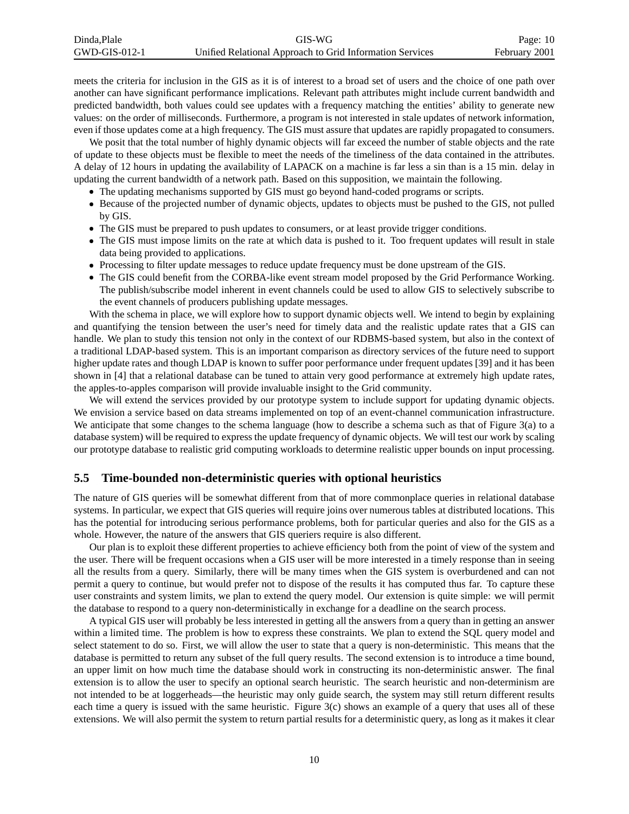| Dinda.Plale     | GIS-WG                                                   | Page: $10$    |
|-----------------|----------------------------------------------------------|---------------|
| $GWD-GIS-012-1$ | Unified Relational Approach to Grid Information Services | February 2001 |

meets the criteria for inclusion in the GIS as it is of interest to a broad set of users and the choice of one path over another can have significant performance implications. Relevant path attributes might include current bandwidth and predicted bandwidth, both values could see updates with a frequency matching the entities' ability to generate new values: on the order of milliseconds. Furthermore, a program is not interested in stale updates of network information, even if those updates come at a high frequency. The GIS must assure that updates are rapidly propagated to consumers.

We posit that the total number of highly dynamic objects will far exceed the number of stable objects and the rate of update to these objects must be flexible to meet the needs of the timeliness of the data contained in the attributes. A delay of 12 hours in updating the availability of LAPACK on a machine is far less a sin than is a 15 min. delay in updating the current bandwidth of a network path. Based on this supposition, we maintain the following.

- The updating mechanisms supported by GIS must go beyond hand-coded programs or scripts.
- Because of the projected number of dynamic objects, updates to objects must be pushed to the GIS, not pulled by GIS.
- The GIS must be prepared to push updates to consumers, or at least provide trigger conditions.
- The GIS must impose limits on the rate at which data is pushed to it. Too frequent updates will result in stale data being provided to applications.
- Processing to filter update messages to reduce update frequency must be done upstream of the GIS.
- The GIS could benefit from the CORBA-like event stream model proposed by the Grid Performance Working. The publish/subscribe model inherent in event channels could be used to allow GIS to selectively subscribe to the event channels of producers publishing update messages.

With the schema in place, we will explore how to support dynamic objects well. We intend to begin by explaining and quantifying the tension between the user's need for timely data and the realistic update rates that a GIS can handle. We plan to study this tension not only in the context of our RDBMS-based system, but also in the context of a traditional LDAP-based system. This is an important comparison as directory services of the future need to support higher update rates and though LDAP is known to suffer poor performance under frequent updates [39] and it has been shown in [4] that a relational database can be tuned to attain very good performance at extremely high update rates, the apples-to-apples comparison will provide invaluable insight to the Grid community.

We will extend the services provided by our prototype system to include support for updating dynamic objects. We envision a service based on data streams implemented on top of an event-channel communication infrastructure. We anticipate that some changes to the schema language (how to describe a schema such as that of Figure 3(a) to a database system) will be required to express the update frequency of dynamic objects. We will test our work by scaling our prototype database to realistic grid computing workloads to determine realistic upper bounds on input processing.

#### **5.5 Time-bounded non-deterministic queries with optional heuristics**

The nature of GIS queries will be somewhat different from that of more commonplace queries in relational database systems. In particular, we expect that GIS queries will require joins over numerous tables at distributed locations. This has the potential for introducing serious performance problems, both for particular queries and also for the GIS as a whole. However, the nature of the answers that GIS queriers require is also different.

Our plan is to exploit these different properties to achieve efficiency both from the point of view of the system and the user. There will be frequent occasions when a GIS user will be more interested in a timely response than in seeing all the results from a query. Similarly, there will be many times when the GIS system is overburdened and can not permit a query to continue, but would prefer not to dispose of the results it has computed thus far. To capture these user constraints and system limits, we plan to extend the query model. Our extension is quite simple: we will permit the database to respond to a query non-deterministically in exchange for a deadline on the search process.

A typical GIS user will probably be less interested in getting all the answers from a query than in getting an answer within a limited time. The problem is how to express these constraints. We plan to extend the SQL query model and select statement to do so. First, we will allow the user to state that a query is non-deterministic. This means that the database is permitted to return any subset of the full query results. The second extension is to introduce a time bound, an upper limit on how much time the database should work in constructing its non-deterministic answer. The final extension is to allow the user to specify an optional search heuristic. The search heuristic and non-determinism are not intended to be at loggerheads—the heuristic may only guide search, the system may still return different results each time a query is issued with the same heuristic. Figure 3(c) shows an example of a query that uses all of these extensions. We will also permit the system to return partial results for a deterministic query, as long as it makes it clear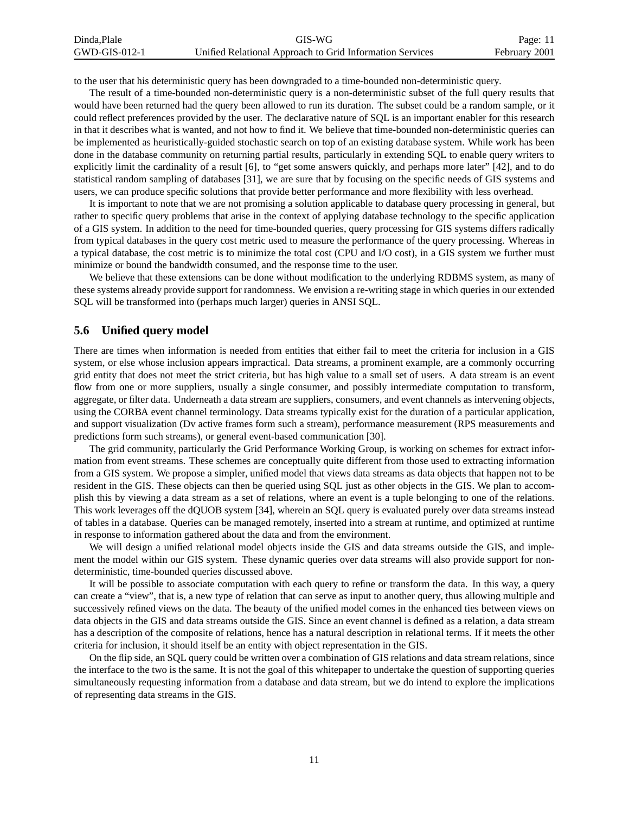| Dinda.Plale     | GIS-WG                                                   | Page: 11      |
|-----------------|----------------------------------------------------------|---------------|
| $GWD-GIS-012-1$ | Unified Relational Approach to Grid Information Services | February 2001 |

to the user that his deterministic query has been downgraded to a time-bounded non-deterministic query.

The result of a time-bounded non-deterministic query is a non-deterministic subset of the full query results that would have been returned had the query been allowed to run its duration. The subset could be a random sample, or it could reflect preferences provided by the user. The declarative nature of SQL is an important enabler for this research in that it describes what is wanted, and not how to find it. We believe that time-bounded non-deterministic queries can be implemented as heuristically-guided stochastic search on top of an existing database system. While work has been done in the database community on returning partial results, particularly in extending SQL to enable query writers to explicitly limit the cardinality of a result [6], to "get some answers quickly, and perhaps more later" [42], and to do statistical random sampling of databases [31], we are sure that by focusing on the specific needs of GIS systems and users, we can produce specific solutions that provide better performance and more flexibility with less overhead.

It is important to note that we are not promising a solution applicable to database query processing in general, but rather to specific query problems that arise in the context of applying database technology to the specific application of a GIS system. In addition to the need for time-bounded queries, query processing for GIS systems differs radically from typical databases in the query cost metric used to measure the performance of the query processing. Whereas in a typical database, the cost metric is to minimize the total cost (CPU and I/O cost), in a GIS system we further must minimize or bound the bandwidth consumed, and the response time to the user.

We believe that these extensions can be done without modification to the underlying RDBMS system, as many of these systems already provide support for randomness. We envision a re-writing stage in which queries in our extended SQL will be transformed into (perhaps much larger) queries in ANSI SQL.

### **5.6 Unified query model**

There are times when information is needed from entities that either fail to meet the criteria for inclusion in a GIS system, or else whose inclusion appears impractical. Data streams, a prominent example, are a commonly occurring grid entity that does not meet the strict criteria, but has high value to a small set of users. A data stream is an event flow from one or more suppliers, usually a single consumer, and possibly intermediate computation to transform, aggregate, or filter data. Underneath a data stream are suppliers, consumers, and event channels as intervening objects, using the CORBA event channel terminology. Data streams typically exist for the duration of a particular application, and support visualization (Dv active frames form such a stream), performance measurement (RPS measurements and predictions form such streams), or general event-based communication [30].

The grid community, particularly the Grid Performance Working Group, is working on schemes for extract information from event streams. These schemes are conceptually quite different from those used to extracting information from a GIS system. We propose a simpler, unified model that views data streams as data objects that happen not to be resident in the GIS. These objects can then be queried using SQL just as other objects in the GIS. We plan to accomplish this by viewing a data stream as a set of relations, where an event is a tuple belonging to one of the relations. This work leverages off the dQUOB system [34], wherein an SQL query is evaluated purely over data streams instead of tables in a database. Queries can be managed remotely, inserted into a stream at runtime, and optimized at runtime in response to information gathered about the data and from the environment.

We will design a unified relational model objects inside the GIS and data streams outside the GIS, and implement the model within our GIS system. These dynamic queries over data streams will also provide support for nondeterministic, time-bounded queries discussed above.

It will be possible to associate computation with each query to refine or transform the data. In this way, a query can create a "view", that is, a new type of relation that can serve as input to another query, thus allowing multiple and successively refined views on the data. The beauty of the unified model comes in the enhanced ties between views on data objects in the GIS and data streams outside the GIS. Since an event channel is defined as a relation, a data stream has a description of the composite of relations, hence has a natural description in relational terms. If it meets the other criteria for inclusion, it should itself be an entity with object representation in the GIS.

On the flip side, an SQL query could be written over a combination of GIS relations and data stream relations, since the interface to the two is the same. It is not the goal of this whitepaper to undertake the question of supporting queries simultaneously requesting information from a database and data stream, but we do intend to explore the implications of representing data streams in the GIS.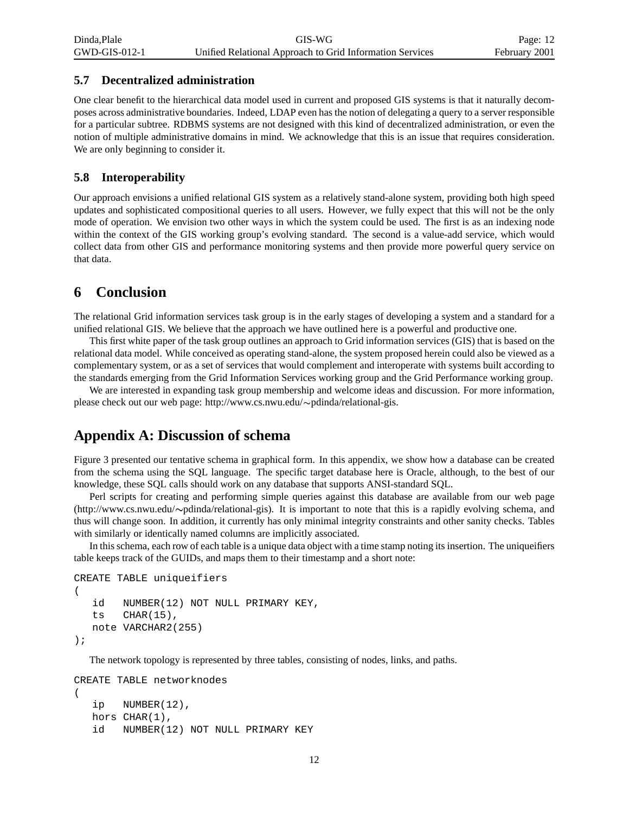#### **5.7 Decentralized administration**

One clear benefit to the hierarchical data model used in current and proposed GIS systems is that it naturally decomposes across administrative boundaries. Indeed, LDAP even has the notion of delegating a query to a server responsible for a particular subtree. RDBMS systems are not designed with this kind of decentralized administration, or even the notion of multiple administrative domains in mind. We acknowledge that this is an issue that requires consideration. We are only beginning to consider it.

Page: 12

#### **5.8 Interoperability**

Our approach envisions a unified relational GIS system as a relatively stand-alone system, providing both high speed updates and sophisticated compositional queries to all users. However, we fully expect that this will not be the only mode of operation. We envision two other ways in which the system could be used. The first is as an indexing node within the context of the GIS working group's evolving standard. The second is a value-add service, which would collect data from other GIS and performance monitoring systems and then provide more powerful query service on that data.

### **6 Conclusion**

The relational Grid information services task group is in the early stages of developing a system and a standard for a unified relational GIS. We believe that the approach we have outlined here is a powerful and productive one.

This first white paper of the task group outlines an approach to Grid information services (GIS) that is based on the relational data model. While conceived as operating stand-alone, the system proposed herein could also be viewed as a complementary system, or as a set of services that would complement and interoperate with systems built according to the standards emerging from the Grid Information Services working group and the Grid Performance working group.

We are interested in expanding task group membership and welcome ideas and discussion. For more information, please check out our web page: http://www.cs.nwu.edu/~pdinda/relational-gis.

### **Appendix A: Discussion of schema**

Figure 3 presented our tentative schema in graphical form. In this appendix, we show how a database can be created from the schema using the SQL language. The specific target database here is Oracle, although, to the best of our knowledge, these SQL calls should work on any database that supports ANSI-standard SQL.

Perl scripts for creating and performing simple queries against this database are available from our web page (http://www.cs.nwu.edu/-pdinda/relational-gis). It is important to note that this is a rapidly evolving schema, and thus will change soon. In addition, it currently has only minimal integrity constraints and other sanity checks. Tables with similarly or identically named columns are implicitly associated.

In thisschema, each row of each table is a unique data object with a time stamp noting its insertion. The uniqueifiers table keeps track of the GUIDs, and maps them to their timestamp and a short note:

```
CREATE TABLE uniqueifiers
(
   id NUMBER(12) NOT NULL PRIMARY KEY,
   ts CHAR(15),
   note VARCHAR2(255)
);
```
The network topology is represented by three tables, consisting of nodes, links, and paths.

```
CREATE TABLE networknodes
(
   ip NUMBER(12),
  hors CHAR(1),
   id NUMBER(12) NOT NULL PRIMARY KEY
```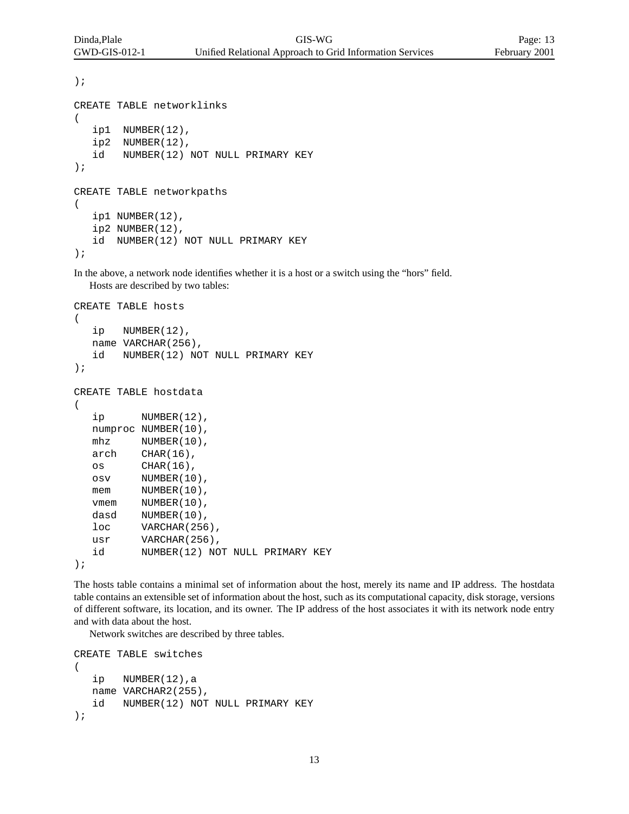```
);
CREATE TABLE networklinks
(
   ip1 NUMBER(12),
   ip2 NUMBER(12),
   id NUMBER(12) NOT NULL PRIMARY KEY
);
CREATE TABLE networkpaths
(
   ip1 NUMBER(12),
   ip2 NUMBER(12),
   id NUMBER(12) NOT NULL PRIMARY KEY
);
```
In the above, a network node identifies whether it is a host or a switch using the "hors" field. Hosts are described by two tables:

```
CREATE TABLE hosts
(
  ip NUMBER(12),
  name VARCHAR(256),
  id NUMBER(12) NOT NULL PRIMARY KEY
);
CREATE TABLE hostdata
(
  ip NUMBER(12),
  numproc NUMBER(10),
  mhz NUMBER(10),
  arch CHAR(16),
  os CHAR(16),
  osv NUMBER(10),
  mem NUMBER(10),
  vmem NUMBER(10),
  dasd NUMBER(10),
  loc VARCHAR(256),
  usr VARCHAR(256),
  id NUMBER(12) NOT NULL PRIMARY KEY
);
```
The hosts table contains a minimal set of information about the host, merely its name and IP address. The hostdata table contains an extensible set of information about the host, such as its computational capacity, disk storage, versions of different software, its location, and its owner. The IP address of the host associates it with its network node entry and with data about the host.

Network switches are described by three tables.

```
CREATE TABLE switches
(
   ip NUMBER(12),a
  name VARCHAR2(255),
   id NUMBER(12) NOT NULL PRIMARY KEY
);
```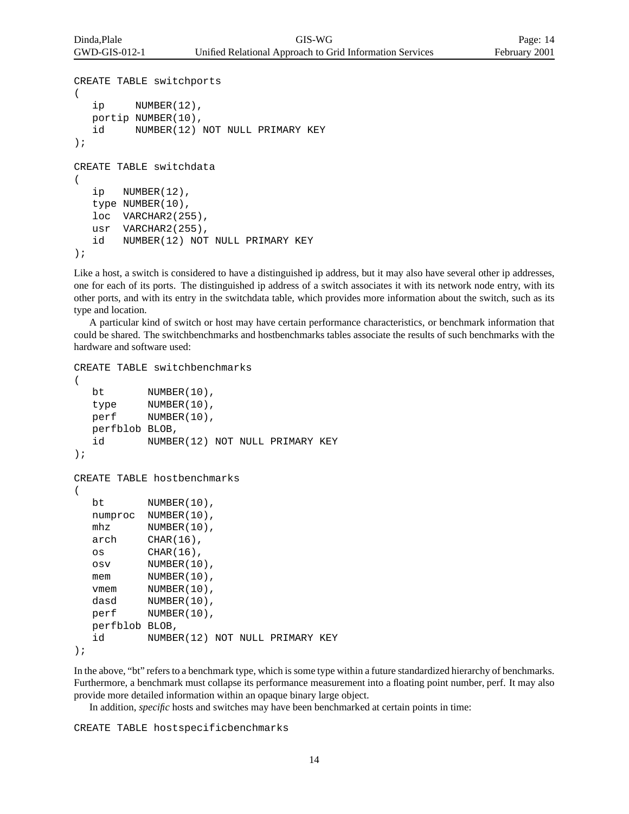```
CREATE TABLE switchports
(
  ip NUMBER(12),
  portip NUMBER(10),
   id NUMBER(12) NOT NULL PRIMARY KEY
);
CREATE TABLE switchdata
(
   ip NUMBER(12),
   type NUMBER(10),
   loc VARCHAR2(255),
  usr VARCHAR2(255),
   id NUMBER(12) NOT NULL PRIMARY KEY
);
```
Like a host, a switch is considered to have a distinguished ip address, but it may also have several other ip addresses, one for each of its ports. The distinguished ip address of a switch associates it with its network node entry, with its other ports, and with its entry in the switchdata table, which provides more information about the switch, such as its type and location.

A particular kind of switch or host may have certain performance characteristics, or benchmark information that could be shared. The switchbenchmarks and hostbenchmarks tables associate the results of such benchmarks with the hardware and software used:

```
CREATE TABLE switchbenchmarks
(
  bt NUMBER(10),
  type NUMBER(10),
  perf NUMBER(10),
  perfblob BLOB,
  id NUMBER(12) NOT NULL PRIMARY KEY
);
CREATE TABLE hostbenchmarks
(
  bt NUMBER(10),
  numproc NUMBER(10),
  mhz NUMBER(10),
  arch CHAR(16),
  os CHAR(16),
  osv NUMBER(10),
  mem NUMBER(10),
  vmem NUMBER(10),
  dasd NUMBER(10),
  perf NUMBER(10),
  perfblob BLOB,
  id NUMBER(12) NOT NULL PRIMARY KEY
);
```
In the above, "bt" refers to a benchmark type, which is some type within a future standardized hierarchy of benchmarks. Furthermore, a benchmark must collapse its performance measurement into a floating point number, perf. It may also provide more detailed information within an opaque binary large object.

In addition, *specific* hosts and switches may have been benchmarked at certain points in time:

CREATE TABLE hostspecificbenchmarks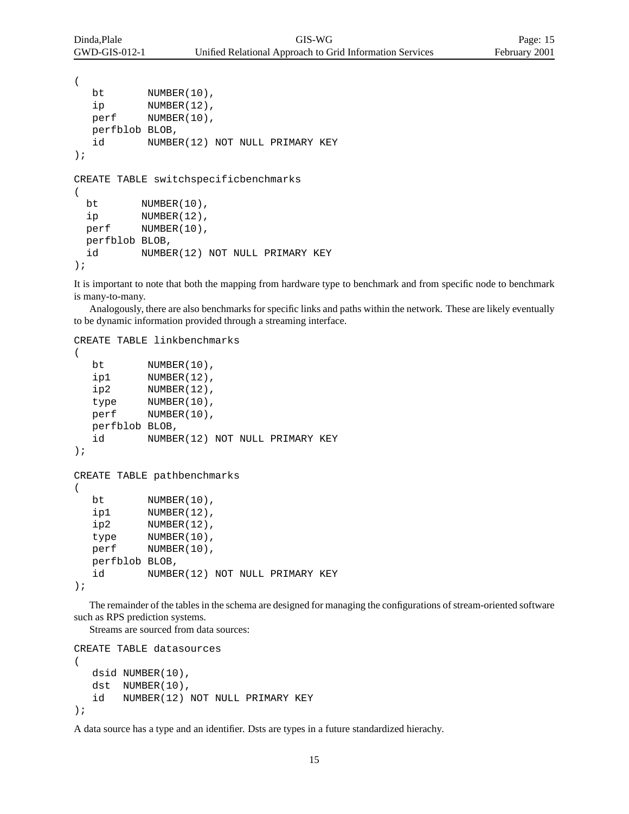```
(
  bt NUMBER(10),
  ip NUMBER(12),
  perf NUMBER(10),
  perfblob BLOB,
  id NUMBER(12) NOT NULL PRIMARY KEY
);
CREATE TABLE switchspecificbenchmarks
(
 bt NUMBER(10),
 ip NUMBER(12),
 perf NUMBER(10),
 perfblob BLOB,
 id NUMBER(12) NOT NULL PRIMARY KEY
);
```
It is important to note that both the mapping from hardware type to benchmark and from specific node to benchmark is many-to-many.

Analogously, there are also benchmarks for specific links and paths within the network. These are likely eventually to be dynamic information provided through a streaming interface.

CREATE TABLE linkbenchmarks

```
(
  bt NUMBER(10),
  ip1 NUMBER(12),
  ip2 NUMBER(12),
  type NUMBER(10),
  perf NUMBER(10),
  perfblob BLOB,
  id NUMBER(12) NOT NULL PRIMARY KEY
);
CREATE TABLE pathbenchmarks
(
  bt NUMBER(10),
  ip1 NUMBER(12),
  ip2 NUMBER(12),
  type NUMBER(10),
  perf NUMBER(10),
  perfblob BLOB,
  id NUMBER(12) NOT NULL PRIMARY KEY
);
```
The remainder of the tables in the schema are designed for managing the configurations of stream-oriented software such as RPS prediction systems.

Streams are sourced from data sources:

```
CREATE TABLE datasources
\big(dsid NUMBER(10),
   dst NUMBER(10),
   id NUMBER(12) NOT NULL PRIMARY KEY
);
```
A data source has a type and an identifier. Dsts are types in a future standardized hierachy.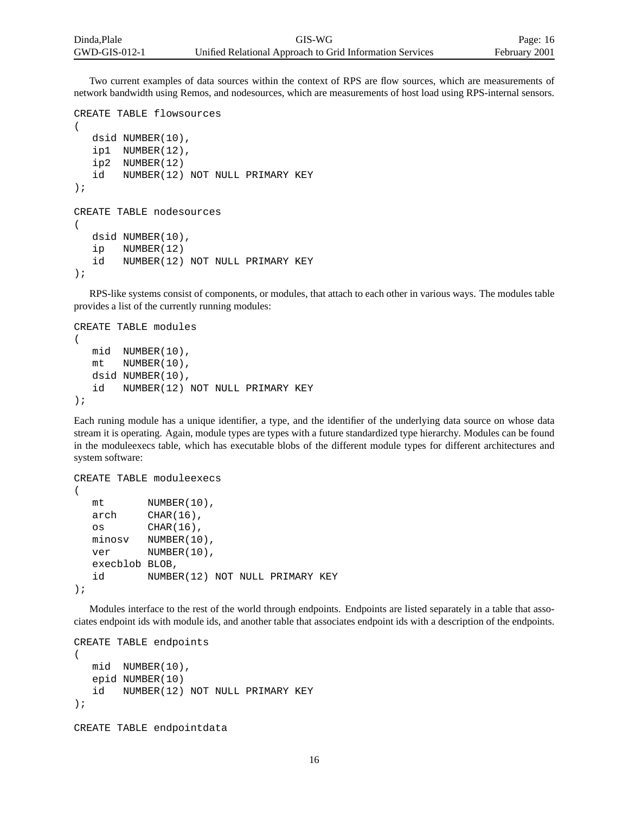Two current examples of data sources within the context of RPS are flow sources, which are measurements of network bandwidth using Remos, and nodesources, which are measurements of host load using RPS-internal sensors.

```
CREATE TABLE flowsources
(
   dsid NUMBER(10),
   ip1 NUMBER(12),
   ip2 NUMBER(12)
   id NUMBER(12) NOT NULL PRIMARY KEY
);
CREATE TABLE nodesources
(
  dsid NUMBER(10),
   ip NUMBER(12)
   id NUMBER(12) NOT NULL PRIMARY KEY
);
```
RPS-like systems consist of components, or modules, that attach to each other in various ways. The modules table provides a list of the currently running modules:

```
CREATE TABLE modules
(
  mid NUMBER(10),
  mt NUMBER(10),
  dsid NUMBER(10),
   id NUMBER(12) NOT NULL PRIMARY KEY
);
```
Each runing module has a unique identifier, a type, and the identifier of the underlying data source on whose data stream it is operating. Again, module types are types with a future standardized type hierarchy. Modules can be found in the moduleexecs table, which has executable blobs of the different module types for different architectures and system software:

```
CREATE TABLE moduleexecs
(
  mt NUMBER(10),
  arch CHAR(16),
  os CHAR(16),
  minosv NUMBER(10),
  ver NUMBER(10),
  execblob BLOB,
  id NUMBER(12) NOT NULL PRIMARY KEY
);
```
Modules interface to the rest of the world through endpoints. Endpoints are listed separately in a table that associates endpoint ids with module ids, and another table that associates endpoint ids with a description of the endpoints.

```
CREATE TABLE endpoints
(
   mid NUMBER(10),
   epid NUMBER(10)
   id NUMBER(12) NOT NULL PRIMARY KEY
);
CREATE TABLE endpointdata
```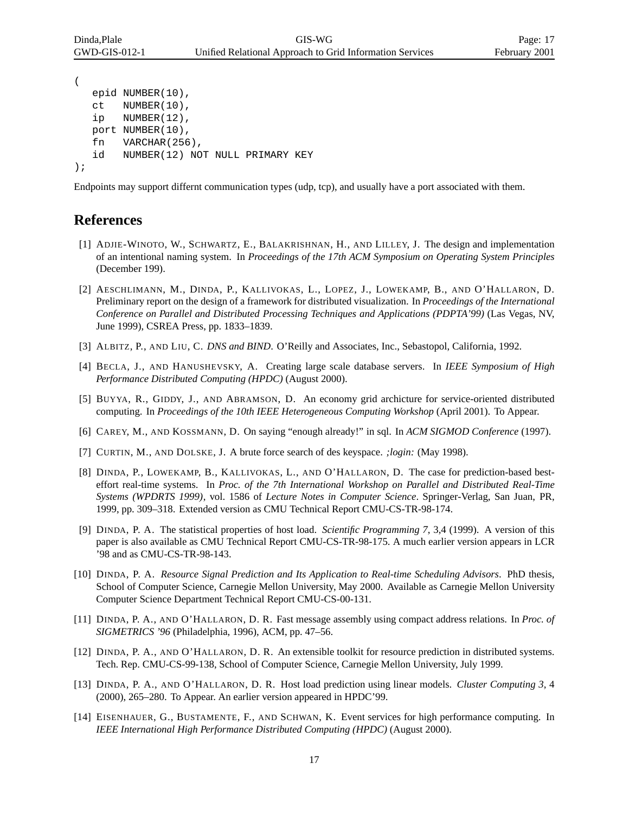```
(
  epid NUMBER(10),
  ct NUMBER(10),
  ip NUMBER(12),
  port NUMBER(10),
  fn VARCHAR(256),
  id NUMBER(12) NOT NULL PRIMARY KEY
);
```
Endpoints may support differnt communication types (udp, tcp), and usually have a port associated with them.

## **References**

- [1] ADJIE-WINOTO, W., SCHWARTZ, E., BALAKRISHNAN, H., AND LILLEY, J. The design and implementation of an intentional naming system. In *Proceedings of the 17th ACM Symposium on Operating System Principles* (December 199).
- [2] AESCHLIMANN, M., DINDA, P., KALLIVOKAS, L., LOPEZ, J., LOWEKAMP, B., AND O'HALLARON, D. Preliminary report on the design of a framework for distributed visualization. In *Proceedings of the International Conference on Parallel and Distributed Processing Techniques and Applications (PDPTA'99)* (Las Vegas, NV, June 1999), CSREA Press, pp. 1833–1839.
- [3] ALBITZ, P., AND LIU, C. *DNS and BIND*. O'Reilly and Associates, Inc., Sebastopol, California, 1992.
- [4] BECLA, J., AND HANUSHEVSKY, A. Creating large scale database servers. In *IEEE Symposium of High Performance Distributed Computing (HPDC)* (August 2000).
- [5] BUYYA, R., GIDDY, J., AND ABRAMSON, D. An economy grid archicture for service-oriented distributed computing. In *Proceedings of the 10th IEEE Heterogeneous Computing Workshop* (April 2001). To Appear.
- [6] CAREY, M., AND KOSSMANN, D. On saying "enough already!" in sql. In *ACM SIGMOD Conference* (1997).
- [7] CURTIN, M., AND DOLSKE, J. A brute force search of des keyspace. *;login:* (May 1998).
- [8] DINDA, P., LOWEKAMP, B., KALLIVOKAS, L., AND O'HALLARON, D. The case for prediction-based besteffort real-time systems. In *Proc. of the 7th International Workshop on Parallel and Distributed Real-Time Systems (WPDRTS 1999)*, vol. 1586 of *Lecture Notes in Computer Science*. Springer-Verlag, San Juan, PR, 1999, pp. 309–318. Extended version as CMU Technical Report CMU-CS-TR-98-174.
- [9] DINDA, P. A. The statistical properties of host load. *Scientific Programming 7*, 3,4 (1999). A version of this paper is also available as CMU Technical Report CMU-CS-TR-98-175. A much earlier version appears in LCR '98 and as CMU-CS-TR-98-143.
- [10] DINDA, P. A. *Resource Signal Prediction and Its Application to Real-time Scheduling Advisors*. PhD thesis, School of Computer Science, Carnegie Mellon University, May 2000. Available as Carnegie Mellon University Computer Science Department Technical Report CMU-CS-00-131.
- [11] DINDA, P. A., AND O'HALLARON, D. R. Fast message assembly using compact address relations. In *Proc. of SIGMETRICS '96* (Philadelphia, 1996), ACM, pp. 47–56.
- [12] DINDA, P. A., AND O'HALLARON, D. R. An extensible toolkit for resource prediction in distributed systems. Tech. Rep. CMU-CS-99-138, School of Computer Science, Carnegie Mellon University, July 1999.
- [13] DINDA, P. A., AND O'HALLARON, D. R. Host load prediction using linear models. *Cluster Computing 3*, 4 (2000), 265–280. To Appear. An earlier version appeared in HPDC'99.
- [14] EISENHAUER, G., BUSTAMENTE, F., AND SCHWAN, K. Event services for high performance computing. In *IEEE International High Performance Distributed Computing (HPDC)* (August 2000).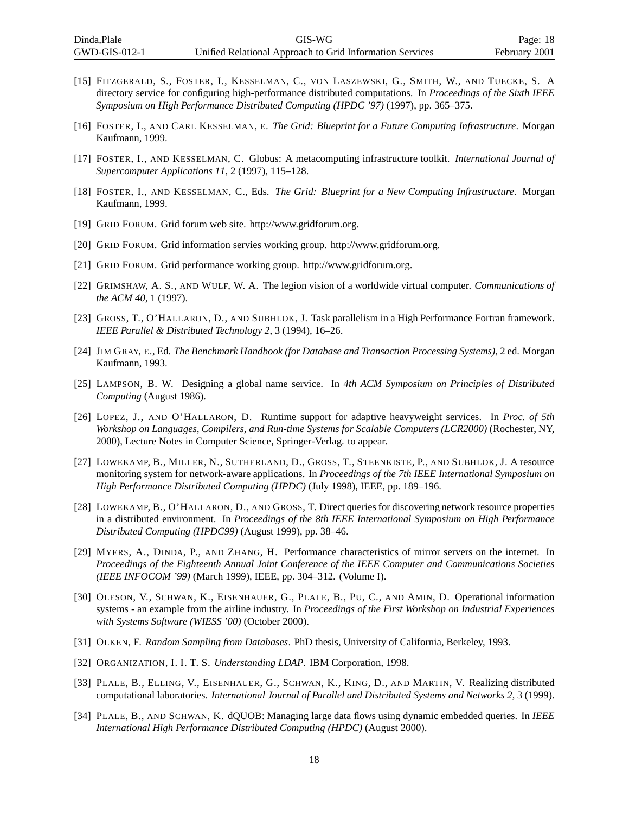- [15] FITZGERALD, S., FOSTER, I., KESSELMAN, C., VON LASZEWSKI, G., SMITH, W., AND TUECKE, S. A directory service for configuring high-performance distributed computations. In *Proceedings of the Sixth IEEE Symposium on High Performance Distributed Computing (HPDC '97)* (1997), pp. 365–375.
- [16] FOSTER, I., AND CARL KESSELMAN, E. *The Grid: Blueprint for a Future Computing Infrastructure*. Morgan Kaufmann, 1999.
- [17] FOSTER, I., AND KESSELMAN, C. Globus: A metacomputing infrastructure toolkit. *International Journal of Supercomputer Applications 11*, 2 (1997), 115–128.
- [18] FOSTER, I., AND KESSELMAN, C., Eds. *The Grid: Blueprint for a New Computing Infrastructure*. Morgan Kaufmann, 1999.
- [19] GRID FORUM. Grid forum web site. http://www.gridforum.org.
- [20] GRID FORUM. Grid information servies working group. http://www.gridforum.org.
- [21] GRID FORUM. Grid performance working group. http://www.gridforum.org.
- [22] GRIMSHAW, A. S., AND WULF, W. A. The legion vision of a worldwide virtual computer. *Communications of the ACM 40*, 1 (1997).
- [23] GROSS, T., O'HALLARON, D., AND SUBHLOK, J. Task parallelism in a High Performance Fortran framework. *IEEE Parallel & Distributed Technology 2*, 3 (1994), 16–26.
- [24] JIM GRAY, E., Ed. *The Benchmark Handbook (for Database and Transaction Processing Systems)*, 2 ed. Morgan Kaufmann, 1993.
- [25] LAMPSON, B. W. Designing a global name service. In *4th ACM Symposium on Principles of Distributed Computing* (August 1986).
- [26] LOPEZ, J., AND O'HALLARON, D. Runtime support for adaptive heavyweight services. In *Proc. of 5th Workshop on Languages, Compilers, and Run-time Systems for Scalable Computers (LCR2000)* (Rochester, NY, 2000), Lecture Notes in Computer Science, Springer-Verlag. to appear.
- [27] LOWEKAMP, B., MILLER, N., SUTHERLAND, D., GROSS, T., STEENKISTE, P., AND SUBHLOK, J. A resource monitoring system for network-aware applications. In *Proceedings of the 7th IEEE International Symposium on High Performance Distributed Computing (HPDC)* (July 1998), IEEE, pp. 189–196.
- [28] LOWEKAMP, B., O'HALLARON, D., AND GROSS, T. Direct queries for discovering network resource properties in a distributed environment. In *Proceedings of the 8th IEEE International Symposium on High Performance Distributed Computing (HPDC99)* (August 1999), pp. 38–46.
- [29] MYERS, A., DINDA, P., AND ZHANG, H. Performance characteristics of mirror servers on the internet. In *Proceedings of the Eighteenth Annual Joint Conference of the IEEE Computer and Communications Societies (IEEE INFOCOM '99)* (March 1999), IEEE, pp. 304–312. (Volume I).
- [30] OLESON, V., SCHWAN, K., EISENHAUER, G., PLALE, B., PU, C., AND AMIN, D. Operational information systems - an example from the airline industry. In *Proceedings of the First Workshop on Industrial Experiences with Systems Software (WIESS '00)* (October 2000).
- [31] OLKEN, F. *Random Sampling from Databases*. PhD thesis, University of California, Berkeley, 1993.
- [32] ORGANIZATION, I. I. T. S. *Understanding LDAP*. IBM Corporation, 1998.
- [33] PLALE, B., ELLING, V., EISENHAUER, G., SCHWAN, K., KING, D., AND MARTIN, V. Realizing distributed computational laboratories. *International Journal of Parallel and Distributed Systems and Networks 2*, 3 (1999).
- [34] PLALE, B., AND SCHWAN, K. dQUOB: Managing large data flows using dynamic embedded queries. In *IEEE International High Performance Distributed Computing (HPDC)* (August 2000).